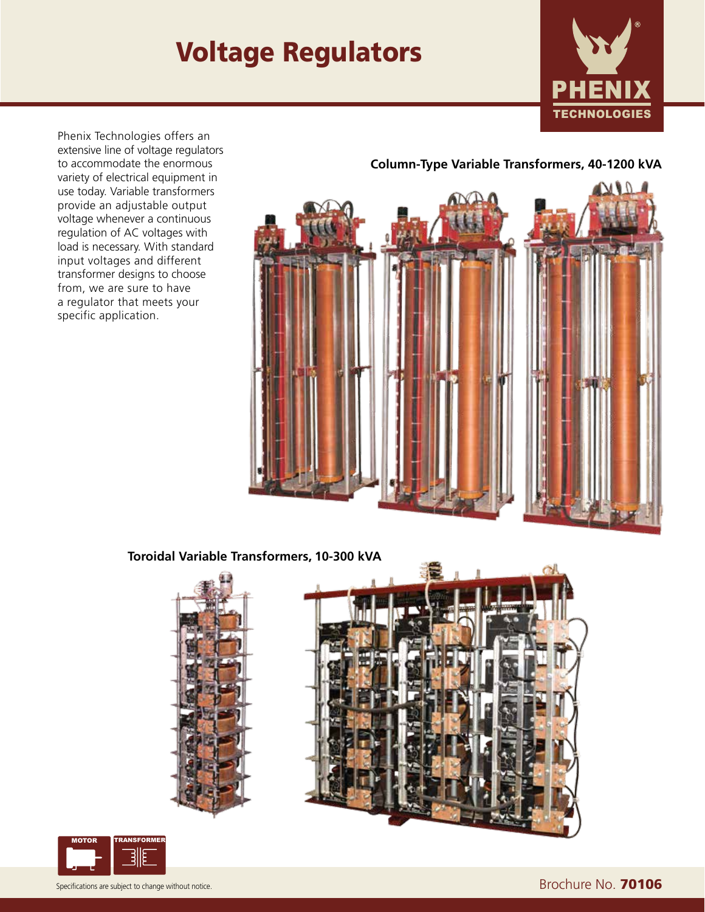# Voltage Regulators



Phenix Technologies offers an extensive line of voltage regulators to accommodate the enormous variety of electrical equipment in use today. Variable transformers provide an adjustable output voltage whenever a continuous regulation of AC voltages with load is necessary. With standard input voltages and different transformer designs to choose from, we are sure to have a regulator that meets your specific application.

#### **Column-Type Variable Transformers, 40-1200 kVA**



#### **Toroidal Variable Transformers, 10-300 kVA**



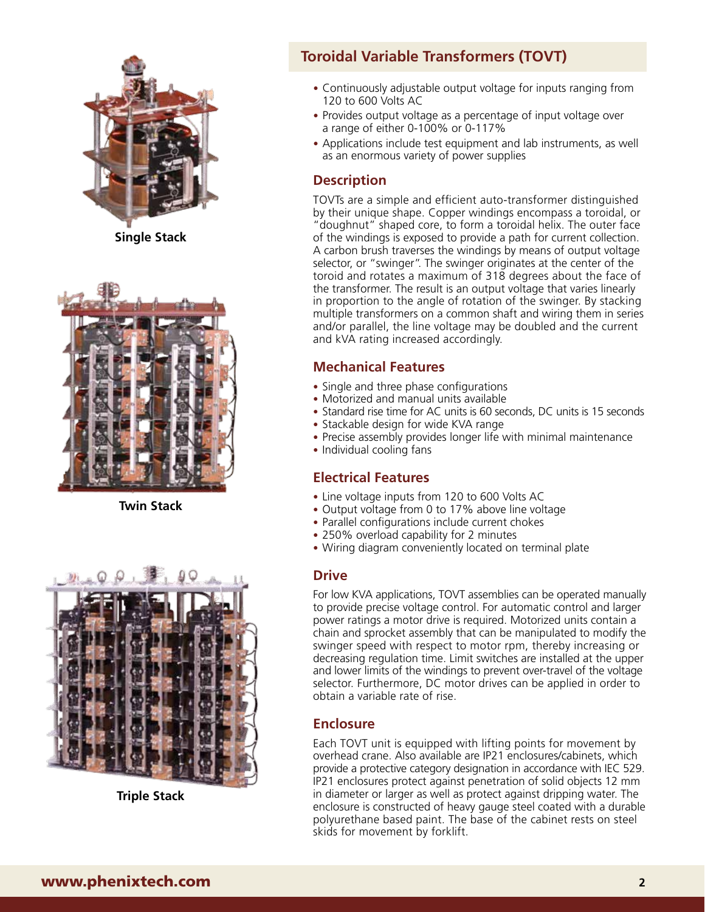

**Single Stack**



**Twin Stack**



**Triple Stack**

### **Toroidal Variable Transformers (TOVT)**

- Continuously adjustable output voltage for inputs ranging from 120 to 600 Volts AC
- Provides output voltage as a percentage of input voltage over a range of either 0-100% or 0-117%
- Applications include test equipment and lab instruments, as well as an enormous variety of power supplies

#### **Description**

TOVTs are a simple and efficient auto-transformer distinguished by their unique shape. Copper windings encompass a toroidal, or "doughnut" shaped core, to form a toroidal helix. The outer face of the windings is exposed to provide a path for current collection. A carbon brush traverses the windings by means of output voltage selector, or "swinger". The swinger originates at the center of the toroid and rotates a maximum of 318 degrees about the face of the transformer. The result is an output voltage that varies linearly in proportion to the angle of rotation of the swinger. By stacking multiple transformers on a common shaft and wiring them in series and/or parallel, the line voltage may be doubled and the current and kVA rating increased accordingly.

#### **Mechanical Features**

- Single and three phase configurations
- Motorized and manual units available
- Standard rise time for AC units is 60 seconds, DC units is 15 seconds
- Stackable design for wide KVA range
- Precise assembly provides longer life with minimal maintenance
- Individual cooling fans

#### **Electrical Features**

- Line voltage inputs from 120 to 600 Volts AC
- Output voltage from 0 to 17% above line voltage
- Parallel configurations include current chokes
- 250% overload capability for 2 minutes
- Wiring diagram conveniently located on terminal plate

#### **Drive**

For low KVA applications, TOVT assemblies can be operated manually to provide precise voltage control. For automatic control and larger power ratings a motor drive is required. Motorized units contain a chain and sprocket assembly that can be manipulated to modify the swinger speed with respect to motor rpm, thereby increasing or decreasing regulation time. Limit switches are installed at the upper and lower limits of the windings to prevent over-travel of the voltage selector. Furthermore, DC motor drives can be applied in order to obtain a variable rate of rise.

#### **Enclosure**

Each TOVT unit is equipped with lifting points for movement by overhead crane. Also available are IP21 enclosures/cabinets, which provide a protective category designation in accordance with IEC 529. IP21 enclosures protect against penetration of solid objects 12 mm in diameter or larger as well as protect against dripping water. The enclosure is constructed of heavy gauge steel coated with a durable polyurethane based paint. The base of the cabinet rests on steel skids for movement by forklift.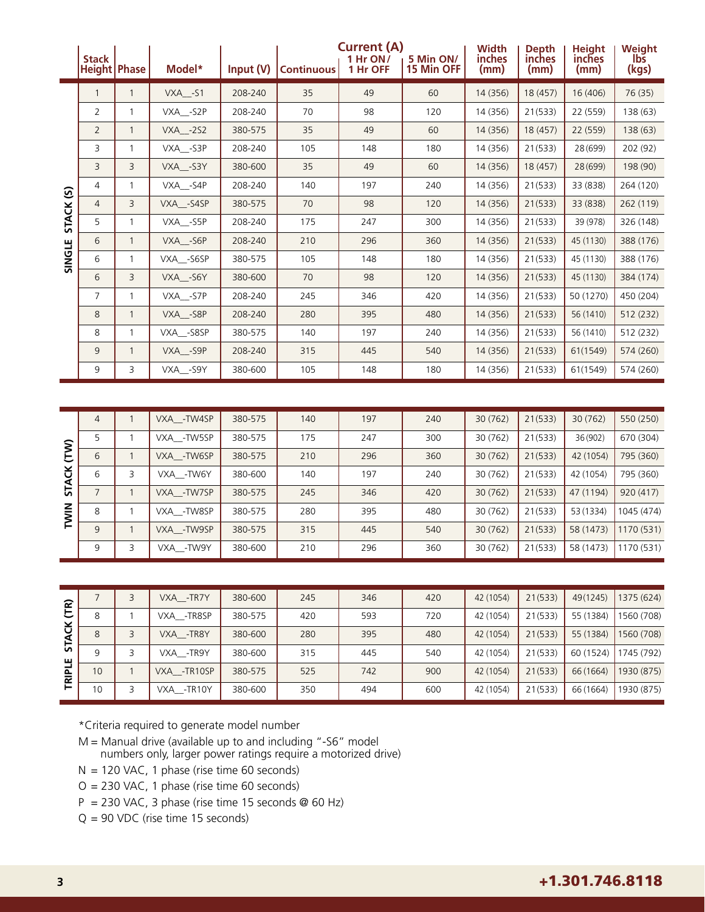|                | <b>Stack</b><br><b>Height Phase</b> |              | Model*               | Input (V) | <b>Continuous</b> | <b>Current (A)</b><br>1 Hr ON/<br>1 Hr OFF | 5 Min ON/<br>15 Min OFF | <b>Width</b><br>inches<br>(mm) | <b>Depth</b><br>inches<br>(mm) | <b>Height</b><br>inches<br>(mm) | Weight<br>lbs<br>(kgs) |
|----------------|-------------------------------------|--------------|----------------------|-----------|-------------------|--------------------------------------------|-------------------------|--------------------------------|--------------------------------|---------------------------------|------------------------|
|                | 1                                   |              | $VXA$ <sub>-S1</sub> | 208-240   | 35                | 49                                         | 60                      | 14 (356)                       | 18 (457)                       | 16 (406)                        | 76 (35)                |
|                | $\overline{2}$                      | 1            | VXA -S2P             | 208-240   | 70                | 98                                         | 120                     | 14 (356)                       | 21(533)                        | 22 (559)                        | 138 (63)               |
|                | $\overline{2}$                      | $\mathbf{1}$ | <b>VXA -2S2</b>      | 380-575   | 35                | 49                                         | 60                      | 14 (356)                       | 18 (457)                       | 22 (559)                        | 138(63)                |
|                | 3                                   |              | VXA -S3P             | 208-240   | 105               | 148                                        | 180                     | 14 (356)                       | 21(533)                        | 28 (699)                        | 202 (92)               |
|                | 3                                   | 3            | VXA -S3Y             | 380-600   | 35                | 49                                         | 60                      | 14 (356)                       | 18 (457)                       | 28 (699)                        | 198 (90)               |
| $\mathfrak{S}$ | 4                                   |              | VXA -S4P             | 208-240   | 140               | 197                                        | 240                     | 14 (356)                       | 21(533)                        | 33 (838)                        | 264 (120)              |
|                | $\overline{4}$                      | 3            | VXA -S4SP            | 380-575   | 70                | 98                                         | 120                     | 14 (356)                       | 21(533)                        | 33 (838)                        | 262 (119)              |
| <b>STACK</b>   | 5                                   |              | VXA -S5P             | 208-240   | 175               | 247                                        | 300                     | 14 (356)                       | 21(533)                        | 39 (978)                        | 326 (148)              |
|                | 6                                   | $\mathbf{1}$ | VXA -S6P             | 208-240   | 210               | 296                                        | 360                     | 14 (356)                       | 21(533)                        | 45 (1130)                       | 388 (176)              |
| SINGLE         | 6                                   | 1            | VXA -S6SP            | 380-575   | 105               | 148                                        | 180                     | 14 (356)                       | 21(533)                        | 45 (1130)                       | 388 (176)              |
|                | 6                                   | 3            | VXA -S6Y             | 380-600   | 70                | 98                                         | 120                     | 14 (356)                       | 21(533)                        | 45 (1130)                       | 384 (174)              |
|                | 7                                   | $\mathbf{1}$ | VXA -S7P             | 208-240   | 245               | 346                                        | 420                     | 14 (356)                       | 21(533)                        | 50 (1270)                       | 450 (204)              |
|                | 8                                   | $\mathbf{1}$ | VXA -S8P             | 208-240   | 280               | 395                                        | 480                     | 14 (356)                       | 21(533)                        | 56 (1410)                       | 512 (232)              |
|                | 8                                   | 1            | VXA__-S8SP           | 380-575   | 140               | 197                                        | 240                     | 14 (356)                       | 21(533)                        | 56 (1410)                       | 512 (232)              |
|                | 9                                   | $\mathbf{1}$ | VXA -S9P             | 208-240   | 315               | 445                                        | 540                     | 14 (356)                       | 21(533)                        | 61(1549)                        | 574 (260)              |
|                | 9                                   | 3            | VXA__-S9Y            | 380-600   | 105               | 148                                        | 180                     | 14 (356)                       | 21(533)                        | 61(1549)                        | 574 (260)              |

|                        | $\overline{4}$ | VXA - TW4SP | 380-575 | 140 | 197 | 240 | 30 (762) | 21(533) | 30(762)   | 550 (250)  |
|------------------------|----------------|-------------|---------|-----|-----|-----|----------|---------|-----------|------------|
| E<br>E<br><b>STACK</b> | 5              | VXA -TW5SP  | 380-575 | 175 | 247 | 300 | 30 (762) | 21(533) | 36 (902)  | 670 (304)  |
|                        | 6              | VXA - TW6SP | 380-575 | 210 | 296 | 360 | 30 (762) | 21(533) | 42 (1054) | 795 (360)  |
|                        | 6              | VXA -TW6Y   | 380-600 | 140 | 197 | 240 | 30 (762) | 21(533) | 42 (1054) | 795 (360)  |
|                        | $\overline{7}$ | VXA - TW7SP | 380-575 | 245 | 346 | 420 | 30 (762) | 21(533) | 47 (1194) | 920 (417)  |
| TWIN                   | 8              | VXA -TW8SP  | 380-575 | 280 | 395 | 480 | 30 (762) | 21(533) | 53 (1334) | 1045 (474) |
|                        | $\mathsf{Q}$   | VXA - TW9SP | 380-575 | 315 | 445 | 540 | 30 (762) | 21(533) | 58 (1473) | 1170 (531) |
|                        | 9              | VXA -TW9Y   | 380-600 | 210 | 296 | 360 | 30 (762) | 21(533) | 58 (1473) | 1170 (531) |

|                 |    | VXA -TR7Y    | 380-600 | 245 | 346 | 420 | 42 (1054) | 21(533) | 49(1245)  | 1375 (624) |
|-----------------|----|--------------|---------|-----|-----|-----|-----------|---------|-----------|------------|
| $\widehat{E}$   | 8  | VXA -TR8SP   | 380-575 | 420 | 593 | 720 | 42 (1054) | 21(533) | 55 (1384) | 1560 (708) |
| č<br><b>STA</b> | 8  | VXA -TR8Y    | 380-600 | 280 | 395 | 480 | 42 (1054) | 21(533) | 55 (1384) | 1560 (708) |
| ш               | 9  | VXA -TR9Y    | 380-600 | 315 | 445 | 540 | 42 (1054) | 21(533) | 60 (1524) | 1745 (792) |
| 죨               | 10 | VXA - TR10SP | 380-575 | 525 | 742 | 900 | 42 (1054) | 21(533) | 66 (1664) | 1930 (875) |
| 론               | 10 | VXA -TR10Y   | 380-600 | 350 | 494 | 600 | 42 (1054) | 21(533) | 66 (1664) | 1930 (875) |

\*Criteria required to generate model number

M = Manual drive (available up to and including "-S6" model numbers only, larger power ratings require a motorized drive)

 $N = 120$  VAC, 1 phase (rise time 60 seconds)

O = 230 VAC, 1 phase (rise time 60 seconds)

 $P = 230$  VAC, 3 phase (rise time 15 seconds @ 60 Hz)

Q = 90 VDC (rise time 15 seconds)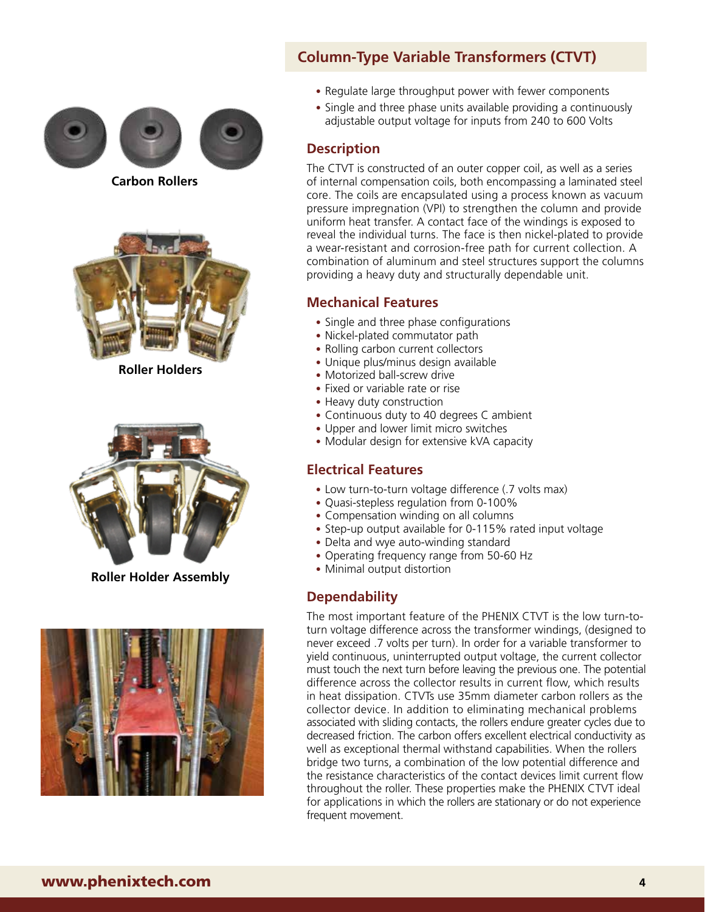

**Carbon Rollers**



**Roller Holders**



**Roller Holder Assembly**



### **Column-Type Variable Transformers (CTVT)**

- Regulate large throughput power with fewer components
- Single and three phase units available providing a continuously adjustable output voltage for inputs from 240 to 600 Volts

#### **Description**

The CTVT is constructed of an outer copper coil, as well as a series of internal compensation coils, both encompassing a laminated steel core. The coils are encapsulated using a process known as vacuum pressure impregnation (VPI) to strengthen the column and provide uniform heat transfer. A contact face of the windings is exposed to reveal the individual turns. The face is then nickel-plated to provide a wear-resistant and corrosion-free path for current collection. A combination of aluminum and steel structures support the columns providing a heavy duty and structurally dependable unit.

#### **Mechanical Features**

- Single and three phase configurations
- Nickel-plated commutator path
- Rolling carbon current collectors
- Unique plus/minus design available
- Motorized ball-screw drive
- Fixed or variable rate or rise
- Heavy duty construction
- Continuous duty to 40 degrees C ambient
- Upper and lower limit micro switches
- Modular design for extensive kVA capacity

#### **Electrical Features**

- Low turn-to-turn voltage difference (.7 volts max)
- Quasi-stepless regulation from 0-100%
- Compensation winding on all columns
- Step-up output available for 0-115% rated input voltage
- Delta and wye auto-winding standard
- Operating frequency range from 50-60 Hz
- Minimal output distortion

#### **Dependability**

The most important feature of the PHENIX CTVT is the low turn-toturn voltage difference across the transformer windings, (designed to never exceed .7 volts per turn). In order for a variable transformer to yield continuous, uninterrupted output voltage, the current collector must touch the next turn before leaving the previous one. The potential difference across the collector results in current flow, which results in heat dissipation. CTVTs use 35mm diameter carbon rollers as the collector device. In addition to eliminating mechanical problems associated with sliding contacts, the rollers endure greater cycles due to decreased friction. The carbon offers excellent electrical conductivity as well as exceptional thermal withstand capabilities. When the rollers bridge two turns, a combination of the low potential difference and the resistance characteristics of the contact devices limit current flow throughout the roller. These properties make the PHENIX CTVT ideal for applications in which the rollers are stationary or do not experience frequent movement.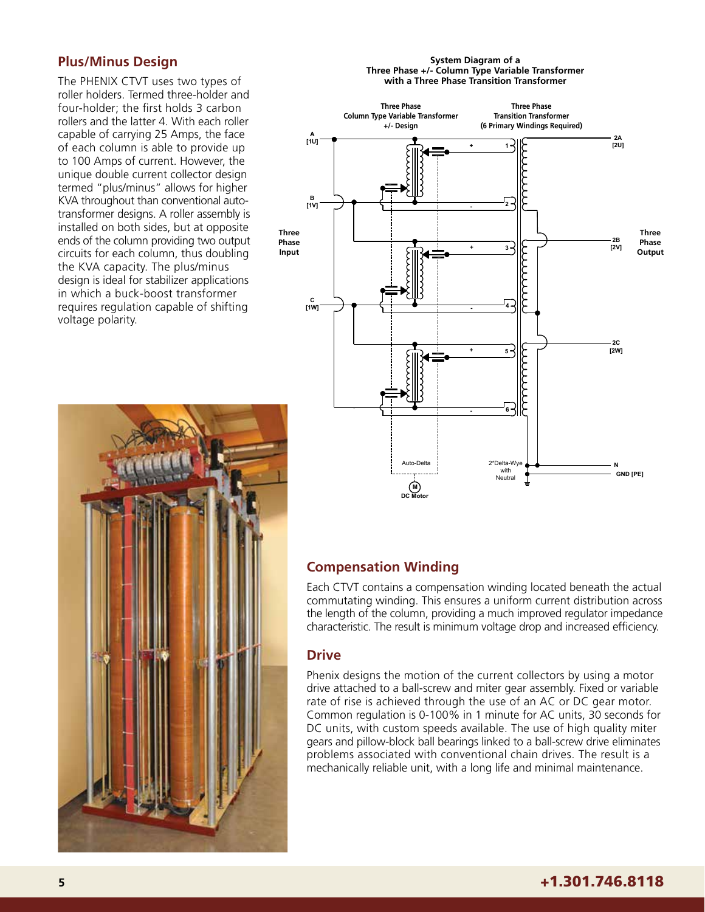#### **Plus/Minus Design**

The PHENIX CTVT uses two types of roller holders. Termed three-holder and four-holder; the first holds 3 carbon rollers and the latter 4. With each roller capable of carrying 25 Amps, the face of each column is able to provide up to 100 Amps of current. However, the unique double current collector design termed "plus/minus" allows for higher KVA throughout than conventional autotransformer designs. A roller assembly is installed on both sides, but at opposite ends of the column providing two output circuits for each column, thus doubling the KVA capacity. The plus/minus design is ideal for stabilizer applications in which a buck-boost transformer requires regulation capable of shifting voltage polarity.



#### **System Diagram of a Three Phase +/- Column Type Variable Transformer with a Three Phase Transition Transformer**



#### **Compensation Winding**

Each CTVT contains a compensation winding located beneath the actual commutating winding. This ensures a uniform current distribution across the length of the column, providing a much improved regulator impedance characteristic. The result is minimum voltage drop and increased efficiency.

#### **Drive**

Phenix designs the motion of the current collectors by using a motor drive attached to a ball-screw and miter gear assembly. Fixed or variable rate of rise is achieved through the use of an AC or DC gear motor. Common regulation is 0-100% in 1 minute for AC units, 30 seconds for DC units, with custom speeds available. The use of high quality miter gears and pillow-block ball bearings linked to a ball-screw drive eliminates problems associated with conventional chain drives. The result is a mechanically reliable unit, with a long life and minimal maintenance.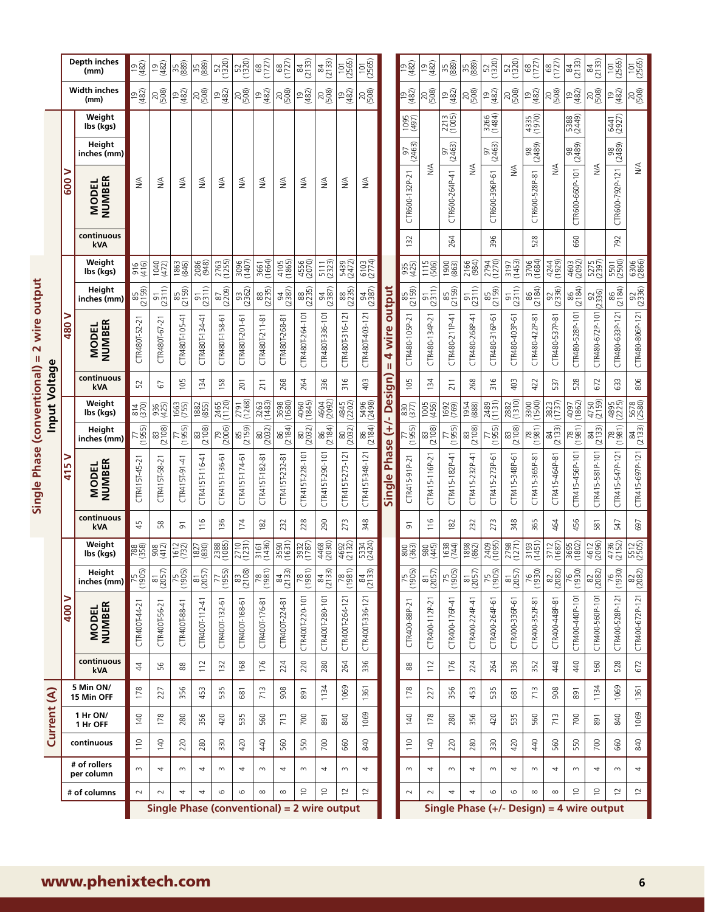|                                    |             |          | Depth inches<br>(mm)          | ප නි          | $\frac{19}{482}$    | 35 <sup>8</sup>  | 35 <sup>8</sup>     | 520)             | 520)            | $\frac{68}{(1727)}$ | $\frac{68}{(1727)}$ | 84<br>(2133)                 | 84<br>(2133)                                               | (2565)              | (2565)                       |                           | $\frac{19}{482}$  | $\frac{19}{(482)}$   | 35 <sub>88</sub> | 35<br>(88)          | 520)                                             | 520)                | $\frac{68}{(1727)}$   | (1727)                       | 84<br>(2133)        | 84<br>(2133)        | (2565)                                 | (2565)              |
|------------------------------------|-------------|----------|-------------------------------|---------------|---------------------|------------------|---------------------|------------------|-----------------|---------------------|---------------------|------------------------------|------------------------------------------------------------|---------------------|------------------------------|---------------------------|-------------------|----------------------|------------------|---------------------|--------------------------------------------------|---------------------|-----------------------|------------------------------|---------------------|---------------------|----------------------------------------|---------------------|
|                                    |             |          | <b>Width inches</b><br>(mm)   | ප හි          | 20 <sup>2</sup>     | $\frac{19}{482}$ | 20 <sup>2</sup>     | $\frac{19}{482}$ | 20 <sup>2</sup> | $\frac{19}{482}$    | 208                 | $\frac{19}{482}$             | 200(500)                                                   | $\frac{19}{482}$    | 208                          |                           | $\frac{9}{482}$   | 20<br>(508)          | $\frac{9}{482}$  | $^{20}_{(508)}$     | $\frac{1}{2}$                                    | 2080                | $\frac{19}{482}$      | 20<br>(508)                  | $\frac{19}{482}$    | 2080                | $\overset{\text{\tiny{(2)}}}{\approx}$ | 20<br>(508)         |
|                                    |             |          | Weight<br>lbs (kgs)           |               |                     |                  |                     |                  |                 |                     |                     |                              |                                                            |                     |                              |                           | (495)             |                      | 2213             |                     | 3266<br>(1484)                                   |                     | 4335<br>(1970)        |                              | 5388<br>(2449)      |                     | 6441<br>(2927)                         |                     |
|                                    |             |          | Height<br>inches (mm)         |               |                     |                  |                     |                  |                 |                     |                     |                              |                                                            |                     |                              |                           | 97<br>(2463)      |                      | 97<br>(2463)     |                     | 97<br>(2463)                                     |                     | 98<br>(2489)          |                              | $\frac{98}{(2489)}$ |                     | $\frac{98}{(2489)}$                    |                     |
|                                    |             | ⋗<br>600 | <b>NUMBER</b><br><b>MODEL</b> | $\lessgtr$    | ≸                   | ₹                | $\frac{4}{2}$       | ₹                | λÄ              | $\frac{4}{2}$       | ≸                   | $\stackrel{\triangle}{\geq}$ | λÄ                                                         | $\frac{4}{2}$       | $\stackrel{\triangle}{\geq}$ |                           | CTR600-132P-21    | ₹                    | CTR600-264P-41   | $\frac{4}{2}$       | CTR600-396P-61                                   | ₹                   | CTR600-528P-81        | $\stackrel{\triangle}{\geq}$ | CTR600-660P-101     | ₹                   | CTR600-792P-121                        | ≶                   |
|                                    |             |          | continuous<br>kVA             |               |                     |                  |                     |                  |                 |                     |                     |                              |                                                            |                     |                              |                           | $\overline{32}$   |                      | 264              |                     | 396                                              |                     | 528                   |                              | 660                 |                     | 792                                    |                     |
|                                    |             |          | Weight<br>lbs (kgs)           | 916)<br>916)  | $1040$<br>$(472)$   | 1863<br>(846)    | 2086<br>(948)       | 2763<br>(1255)   | 3096<br>(1407)  | 3664)               | 4105<br>(1865)      | 4556<br>(2070)               | 5111<br>(2323)                                             | 5439<br>(2472)      | 6103<br>(2774)               |                           | 935<br>(425)      | $\frac{1115}{(506)}$ | (863)            | 2166<br>(984)       | 2794<br>(1270)                                   | 3197<br>(1453)      | 3706<br>(1684)        | 4244<br>(1929)               | 4603<br>(2092)      | 5275<br>(2397)      | 5501<br>(2500)                         | 6306<br>(2866)      |
|                                    |             |          | Height<br>inches (mm)         | 85<br>(2159)  | $\frac{91}{2311}$   | 85<br>(2159)     | $\frac{91}{2311}$   | 87<br>(2209)     | 93<br>(2362)    | 88<br>(2235)        | (2387)              | 88<br>(2235)                 | (2387)                                                     | 88<br>(2235)        | (2387)                       | output                    | 85<br>(2159)      | $\frac{91}{2311}$    | 85<br>(2159)     | $\frac{91}{2311}$   | 85<br>(2159)                                     | $\frac{91}{2311}$   | 86<br>(2184)          | 92<br>(2336)                 | 86<br>(2184)        | $\frac{92}{(2336)}$ | 86<br>(2184)                           | 2356)               |
| 2 wire output<br>Ш<br>Input Voltag | Φ           | 480      | NUMBER<br><b>MODEL</b>        | CTR480T-52-21 | CTR480T-67-2        | CTR480T-105-41   | CTR480T-134-41      | CTR480T-158-61   | CTR480T-201-61  | CTR480T-211-81      | CTR480T-268-81      | CTR480T-264-101              | CTR480T-336-101                                            | CTR480T-316-121     | CTR480T-403-121              | 4 wire<br>$\mathbf{I}$    | CTR480-105P-21    | CTR480-134P-21       | CTR480-211P-41   | CTR480-268P-41      | CTR480-316P-61                                   | CTR480-403P-61      | CTR480-422P-81        | CTR480-537P-81               | CTR480-528P-101     | CTR480-672P-101     | CTR480-633P-121                        | CTR480-806P-121     |
|                                    |             |          | continuous<br>kVA             | 52            | 5                   | 105              | 134                 | 158              | 201             | 211                 | 268                 | 264                          | 336                                                        | 316                 | 403                          |                           | 105               | 134                  | 211              | 268                 | 316                                              | 403                 | 422                   | 537                          | 528                 | 672                 | 633                                    | 806                 |
|                                    |             |          | Weight<br>lbs (kgs)           | 814<br>(370)  | 936<br>(425)        | 1663<br>(755)    | (855)               | 2465<br>(1120)   | 2791<br>(1268)  | 3263<br>(1483)      | 3698<br>(1680)      | 4060<br>(1845)               | 4604<br>(2092)                                             | 4845<br>(2202)      | 5496<br>(2498)               |                           | $\frac{850}{850}$ | (456)                | 1692<br>(769)    | 1954<br>888)        | 2489<br>(1131)                                   | 2882<br>(1310)      | 3300                  | 3823<br>(1737)               | $4097$<br>(1862)    | 4750<br>(2159)      | 4895<br>(2225)                         | 5678<br>(2580)      |
|                                    |             |          | Height<br>inches (mm)         | (1955)        | 83<br>(2108)        | 77<br>(1955)     | 83<br>(2108)        | $79$<br>(2006)   | 85<br>(2159)    | $\frac{80}{(2032)}$ | $\frac{86}{(2184)}$ | $\frac{80}{(2032)}$          | $\frac{86}{(2184)}$                                        | 80<br>(2032)        | $\frac{86}{(2184)}$          |                           | (1955)            | $\frac{83}{(2108)}$  | (1955)           | 83<br>(2108)        | (1955)                                           | 83<br>(2108)        | $\frac{78}{(1981)}$   | 84<br>(2133)                 | $\frac{78}{(1981)}$ | 84<br>(2133)        | (1981)                                 | $\frac{84}{(2133)}$ |
| Single Phase (conventional)        |             | ⋗<br>415 | <b>NUMBER</b><br><b>MODEL</b> | CTR415T-45-21 | CTR415T-58-21       | CTR415T-91-41    | CTR415T-116-41      | CTR415T-136-61   | CTR415T-174-61  | CTR415T-182-81      | CTR415T-232-81      | CTR415T-228-101              | CTR415T-290-101                                            | CTR415T-273-121     | CTR415T-348-121              | Single Phase (+/- Design) | CTR415-91P-21     | CTR415-116P-21       | CTR415-182P-41   | CTR415-232P-41      | CTR415-273P-61                                   | CTR415-348P-61      | CTR415-365P-81        | CTR415-464P-81               | CTR415-456P-101     | CTR415-581P-101     | CTR415-547P-121                        | CTR415-697P-121     |
|                                    |             |          | continuous<br>kVA             | 45            | 58                  | 5                | 116                 | 136              | 174             | 182                 | 232                 | 228                          | 290                                                        | 273                 | 348                          |                           | 5                 | 116                  | 182              | 232                 | 273                                              | 348                 | 365                   | 464                          | 456                 | 581                 | 547                                    | 697                 |
|                                    |             |          | Weight<br>lbs (kgs)           | 788<br>(358)  | $\frac{908}{412}$   | (732)            | 1827<br>(830)       | 2388<br>(1085)   | 2710<br>(1231)  | 3161<br>(1436)      | 3590<br>(1631)      | 3932<br>(1787)               | 4468<br>(2030)                                             | 4692<br>(2132)      | 5334<br>(2424)               |                           | 863               | 980<br>980           | (74)             | $\frac{1898}{862}$  | 24095)                                           | 2798<br>(1271)      | $\frac{3193}{(1451)}$ | 3712<br>(1687)               | 3695<br>(1802)      | 4612<br>(2096)      | 4736<br>(2152)                         | 5512<br>(2505)      |
|                                    |             |          | Height<br>inches (mm)         | 75<br>(1905)  | $\frac{81}{(2057)}$ | 75<br>(1905)     | $\frac{81}{(2057)}$ | 77<br>(1955)     | 83<br>(2108)    | (1981)              | 84<br>(2133)        | $\frac{1861}{82}$            | 84<br>(2133)                                               | $\frac{78}{(1981)}$ | (213)                        |                           | 75<br>(1905)      | $\frac{81}{(2057)}$  | (1905)           | $\frac{81}{(2057)}$ | (1905)                                           | $\frac{81}{(2057)}$ | (1930)                | 82<br>(2082)                 | $\frac{1}{26}$      | $\frac{82}{(2082)}$ | (1930)                                 | (2082)              |
|                                    |             | 400      | <b>MODEL</b><br>NUMBER        | CTR400T-44-21 | CTR400T-56-21       | CTR400T-88-41    | CTR400T-112-41      | CTR400T-132-61   | CTR400T-168-61  | CTR400T-176-81      | CTR400T-224-81      | CTR400T-220-101              | CTR400T-280-101                                            | CTR400T-264-121     | CTR400T-336-121              |                           | CTR400-88P-21     | CTR400-112P-21       | CTR400-176P-41   | CTR400-224P-41      | CTR400-264P-61                                   | CTR400-336P-61      | CTR400-352P-81        | CTR400-448P-81               | CTR400-440P-101     | CTR400-560P-101     | CTR400-528P-121                        | CTR400-672P-121     |
|                                    |             |          | continuous<br>kVA             | 44            | 56                  | $\frac{8}{8}$    | 112                 | 132              | 168             | 176                 | 224                 | 220                          | 280                                                        | 264                 | 336                          |                           | 88                | 112                  | 176              | 224                 | 264                                              | 336                 | 352                   | 48                           | 40                  | 560                 | 528                                    | 672                 |
|                                    |             |          | 5 Min ON/<br>15 Min OFF       | 178           | 227                 | 356              | 453                 | 535              | 681             | 713                 | 908                 | $\overline{89}$              | 1134                                                       | 1069                | 1361                         |                           | 178               | 227                  | 356              | 453                 | 535                                              | 681                 | 713                   | 908                          | 891                 | 1134                | 1069                                   | 1361                |
|                                    | Current (A) |          | 1 Hr ON/<br>1 Hr OFF          | 140           | 178                 | 280              | 356                 | 420              | 535             | 560                 | 713                 | 700                          | 891                                                        | 840                 | 1069                         |                           | 140               | 178                  | 280              | 356                 | 420                                              | 535                 | 560                   | 713                          | 700                 | 891                 | 840                                    | 1069                |
|                                    |             |          | continuous                    | 110           | 140                 | 220              | 280                 | 330              | 420             | 440                 | 560                 | 550                          | 700                                                        | 660                 | 840                          |                           | $\frac{10}{10}$   | 140                  | 220              | 280                 | 330                                              | 420                 | 440                   | 560                          | 550                 | 700                 | 660                                    | 840                 |
|                                    |             |          | # of rollers<br>per column    | $\sim$        | 4                   | $\sim$           | 4                   | $\sim$           | 4               | $\sim$              | 4                   | $\sim$                       | 4                                                          | $\sim$              | 4                            |                           | $\sim$            | 4                    | $\sim$           | 4                   | $\sim$                                           | 4                   | $\sim$                | 4                            | $\sim$              | 4                   | $\sim$                                 | 4                   |
|                                    |             |          | # of columns                  | $\sim$        | $\sim$              | 4                | 4                   | $\circ$          | $\circ$         | $\infty$            | $\infty$            | $\tilde{0}$                  | $\tilde{0}$<br>Single Phase (conventional) = 2 wire output | 12                  | $\overline{\phantom{a}}$     |                           | $\sim$            | $\sim$               | 4                | 4                   | 9<br>Single Phase $(+/-$ Design) = 4 wire output | 9                   | $\infty$              | $\infty$                     | $\supseteq$         | S                   | 12                                     | $\simeq$            |
|                                    |             |          |                               |               |                     |                  |                     |                  |                 |                     |                     |                              |                                                            |                     |                              |                           |                   |                      |                  |                     |                                                  |                     |                       |                              |                     |                     |                                        |                     |

## www.phenixtech.com **6**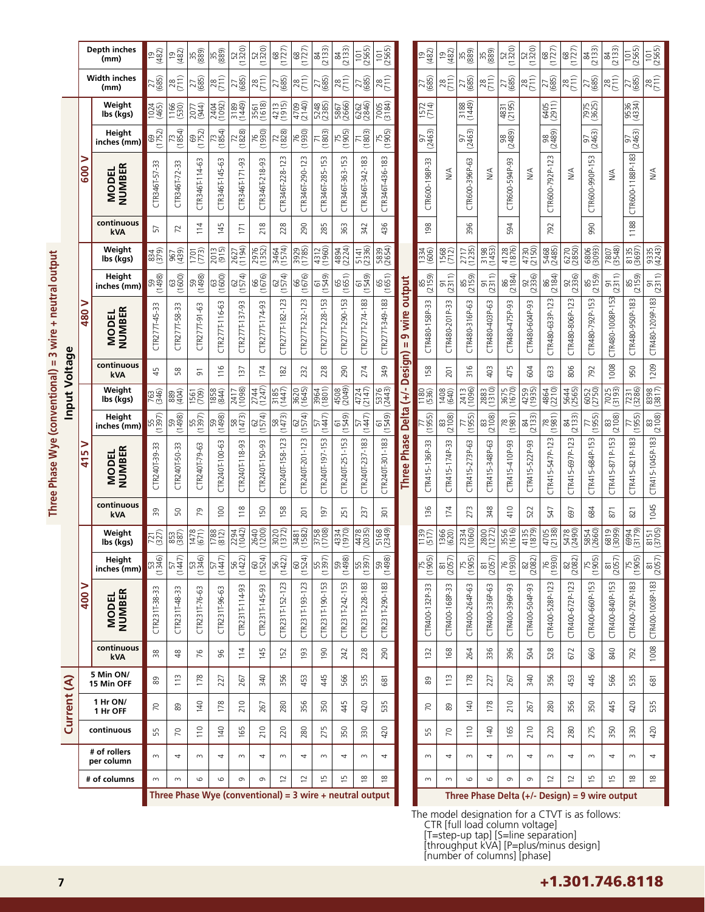| <b>Property</b>              |
|------------------------------|
|                              |
| )<br>=<br>=                  |
| ī                            |
| i                            |
|                              |
| Ĕ                            |
|                              |
|                              |
|                              |
|                              |
|                              |
|                              |
|                              |
|                              |
|                              |
|                              |
|                              |
| <b>Contract of the light</b> |
|                              |
|                              |
|                              |
|                              |
|                              |

|               |                      | Depth inches<br>(mm)          | $\frac{19}{482}$    | $\frac{9}{48}$     | 35 <sup>889</sup>                                          | 35<br>(88)           | 520)                   | 520)              | (1727)                | (1727)            | 84<br>(2133)       | 84<br>(2133)      | (2565)          | (2565)              |                              | $\frac{19}{482}$                                | $\frac{1}{2}$                    | 35<br>(88)     | 35<br>(88)                       | 520)<br>(1320)      | 520)                                           | (1727)              | $\frac{68}{(1727)}$ | 84<br>(2133)        | 84<br>(2133)        | (2565)                  | (2565)                |
|---------------|----------------------|-------------------------------|---------------------|--------------------|------------------------------------------------------------|----------------------|------------------------|-------------------|-----------------------|-------------------|--------------------|-------------------|-----------------|---------------------|------------------------------|-------------------------------------------------|----------------------------------|----------------|----------------------------------|---------------------|------------------------------------------------|---------------------|---------------------|---------------------|---------------------|-------------------------|-----------------------|
|               |                      | <b>Width inches</b><br>(mm)   | $\frac{27}{685}$    | $\frac{28}{(71)}$  | $\frac{27}{(685)}$                                         | $\frac{28}{(71)}$    | $\frac{27}{(685)}$     | $\frac{28}{(71)}$ | $\frac{27}{(685)}$    | $\frac{28}{(71)}$ | $\frac{27}{(685)}$ | $\frac{28}{(71)}$ | 27<br>(685)     | $\frac{28}{(71)}$   |                              | 27<br>(685)                                     | $\frac{28}{(71)}$                | 27<br>(685)    | $\frac{28}{(71)}$                | 27<br>(685)         | $\frac{28}{(71)}$                              | 27<br>(685)         | $\frac{28}{(711)}$  | 27<br>(685)         | $\frac{28}{(711)}$  | 27<br>(685)             | $\frac{28}{(71)}$     |
|               |                      | Weight<br>lbs (kgs)           | 1024<br>(465)       | 1166<br>(530)      | 2077<br>(944)                                              | 2404<br>(1092)       | 3189 <sub>(1449)</sub> | 3561<br>(1618)    | 4215)<br>(1915)       | 4709<br>(2140)    | 5248<br>(2385)     | 5867<br>(2666)    | 6262<br>(2846)  | 7005<br>(3184)      |                              | 1572<br>(714)                                   |                                  | 3188<br>(1449) |                                  | 4831<br>(2195)      |                                                | 6405<br>(2911)      |                     | 7975<br>(3625)      |                     | 9534)<br>(4334)         |                       |
|               |                      | Height<br>inches (mm)         | $\frac{69}{(1752)}$ | 73<br>(1854)       | 69<br>(1752)                                               | (1854)               | $\frac{72}{(1828)}$    | 76<br>(1930)      | $\frac{72}{(1828)}$   | (1930)            | (1803)             | 75<br>(1905)      | (1803)          | $\frac{75}{(1905)}$ |                              | 97<br>(2463)                                    |                                  | 97<br>(2463)   |                                  | 98<br>(2489)        |                                                | 98<br>(2489)        |                     | 97<br>(2463)        |                     | 97<br>(2463)            |                       |
|               | 2<br>$\overline{50}$ |                               |                     | m                  |                                                            |                      |                        |                   |                       |                   |                    | S                 |                 |                     |                              |                                                 | $\stackrel{\triangleleft}{\geq}$ |                | $\stackrel{\triangleleft}{\geq}$ |                     | $\stackrel{\triangle}{\geq}$                   | 23                  | ≸                   | 53                  |                     |                         | ₹                     |
|               |                      | <b>NUMBER</b><br><b>MODEL</b> | R346T-57-33<br>5    | CTR346T-72-3       | CTR346T-114-63                                             | CTR346T-145-63       | CTR346T-171-93         | CTR346T-218-93    | CTR346T-228-123       | CTR346T-290-123   | CTR346T-285-153    | CTR346T-363-1     | CTR346T-342-183 | CTR346T-436-183     |                              | CTR600-198P-33                                  |                                  | CTR600-396P-63 |                                  | CTR600-594P-93      |                                                | CTR600-792P-1       |                     | CTR600-990P-1       | $\frac{4}{2}$       | CTR600-1188P-183        |                       |
|               |                      | continuous<br>kVA             | 57                  | 52                 | 114                                                        | 145                  | 171                    | 218               | 228                   | 290               | 285                | 363               | 342             | 436                 |                              | $\frac{8}{6}$                                   |                                  | 396            |                                  | 594                 |                                                | 792                 |                     | 990                 |                     | 1188                    |                       |
|               |                      | Weight<br>lbs (kgs)           | 834<br>(379)        | 967<br>(439)       | (773)                                                      | 2013                 | 2627<br>(1194)         | 2976<br>(1352)    | 3464<br>(1574)        | 3929<br>(1785)    | 4312<br>(1960)     | 4894<br>(2224)    | 5141<br>(2336)  | 5839<br>(2654)      |                              | 1334<br>1334                                    | 1568<br>(712)                    | 2717<br>(1235) | 3198<br>(1453)                   | 4128<br>(1876)      | 4730<br>(2150)                                 | 5468<br>(2485)      | 6270<br>(2850)      | 6806)               | 7807<br>(3548)      | 8135<br>(3697)          | 9335<br>(4243)        |
|               |                      | Height<br>inches (mm)         | 59<br>(1498)        | 63<br>(1600)       | 59<br>(1498)                                               | 63<br>(1600)         | (1574)                 | (1676)<br>(1676)  | 62<br>(1574)          | (1676)<br>(1676)  | 61549)             | (1651)            | 61<br>(1549)    | (1651)              | output                       | 85<br>(2159)                                    | $\frac{91}{2311}$                | 85<br>(2159)   | $\frac{91}{2311}$                | 86<br>(2184)        | 92<br>(2336)                                   | 86<br>(2184)        | $\frac{92}{(2336)}$ | 85<br>(2159)        | $\frac{91}{2311}$   | 85<br>(2159)            | $\frac{91}{(2311)}$   |
|               | ><br>86              | <b>NUMBER</b><br><b>MODEL</b> | CTR277T-45-33       | CTR277T-58-33      | CTR277T-91-63                                              | CTR277T-116-63       | CTR277T-137-93         | CTR277T-174-93    | CTR277T-182-123       | CTR277T-232-123   | CTR277T-228-153    | CTR277T-290-153   | CTR277T-274-183 | CTR277T-349-183     | wire<br><b>၈</b><br>Ш        | CTR480-158P-33                                  | CTR480-201P-33                   | CTR480-316P-63 | CTR480-403P-63                   | CTR480-475P-93      | CTR480-604P-93                                 | CTR480-633P-123     | CTR480-806P-123     | CTR480-792P-153     | CTR480-1008P-153    | CTR480-950P-183         | CTR480-1209P-183      |
|               |                      | continuous<br><b>kVA</b>      | 45                  | 58                 | 5                                                          | 116                  | 137                    | 174               | 182                   | 232               | 228                | 290               | 274             | 349                 | Design)                      | $\mathbb{S}^{\mathsf{S}}$                       | 201                              | 316            | 403                              | 475                 | 604                                            | 633                 | 806                 | 792                 | 1008                | 950                     | 1209                  |
| Input Voltage |                      | Weight<br>lbs (kgs)           | 763<br>(346)        | 88<br>89           | 1561<br>(709)                                              | $\frac{1858}{(844)}$ | 2417<br>(1098)         | 2744<br>(1247)    | $\frac{3185}{(1447)}$ | $3620$<br>(1645)  | 3964<br>(1801)     | 4508              | 4724<br>(2147)  | 5376<br>(2443)      | Delta (+/-                   | 1180<br>(536)                                   | 1408<br>8040                     | 2413<br>(1096) | 2883<br>(1310)                   | 3675<br>(1670)      | 4259<br>(1935)                                 | 4864<br>(2210)      | 5644<br>(2565)      | 6052<br>(2750)      | 7025<br>(3193)      | 7231<br>(3286)          | 8398                  |
|               |                      | Height<br>inches (mm)         | 55<br>(1397)        | 59<br>(1498)       | (1397)                                                     | 59<br>(1498)         | $\frac{58}{(1473)}$    | (1574)            | 58<br>(1473)          | 62<br>(1574)      | (1447)             | (1549)            | (1447)          | (1549)              |                              | (1955)                                          | $\frac{83}{2108}$                | (1955)         | $\frac{83}{(2108)}$              | $\frac{78}{(1981)}$ | 84<br>(2133)                                   | $\frac{78}{(1981)}$ | 84<br>(2133)        | $\frac{77}{(1955)}$ | $\frac{83}{(2108)}$ | 77<br>(1955)            | $\frac{83}{(2108)}$   |
|               | ⋗<br>S<br>41         | <b>NUMBER</b><br><b>MODEL</b> | CTR240T-39-33       | CTR240T-50-33      | CTR240T-79-63                                              | CTR240T-100-63       | CTR240T-118-93         | CTR240T-150-93    | CTR240T-158-123       | CTR240T-201-123   | CTR240T-197-153    | CTR240T-251-153   | CTR240T-237-183 | CTR240T-301-183     | <b>Phase</b><br><b>Three</b> | CTR415-136P-33                                  | CTR415-174P-33                   | CTR415-273P-63 | 5-348P-63<br>CTR41               | CTR415-410P-93      | CTR415-522P-93                                 | CTR415-547P-123     | CTR415-697P-123     | CTR415-684P-153     | CTR415-871P-153     | CTR415-821P-183         | CTR415-1045P-183      |
|               |                      | continuous<br><b>kVA</b>      | 50                  | 50                 | 54                                                         | 100                  | 118                    | <b>ISO</b>        | 158                   | $\overline{201}$  | 197                | 251               | 237             | $\overline{301}$    |                              | 96                                              | 174                              | ω<br>27        | 348                              | 410                 | 522                                            | 547                 | 697                 | 684                 | 871                 | 821                     | 1045                  |
|               |                      | Weight<br>lbs (kgs)           | 727)<br>(327)       | 853<br>(387)       | (671)                                                      | 1788<br>(812)        | 2294<br>(1042)         | 2640              | 3020                  | 3481<br>(1582)    | 3758<br>(1708)     | 4334<br>(1970)    | 4478<br>(2035)  | 5168<br>(2349)      |                              | $\frac{1139}{(517)}$                            | 1366<br>(620)                    | 2334           | 2800<br>(1272)                   | 3556<br>(1616)      | 4135<br>(1879)                                 | 4705<br>(2138)      | 5478<br>(2490)      | 5854<br>(2660)      | 6819<br>(309)       | 6994<br>(3179)          | $\frac{8151}{(3705)}$ |
|               |                      | Height<br>inches (mm)         | B <sub>346</sub>    | (1447)             | (1346)                                                     | (1447)               | $\frac{56}{(1422)}$    | (1524)            | (1422)                | (1524)            | 55<br>(1397)       | 59<br>(1498)      | 55<br>(1397)    | 59<br>(1498)        |                              | $\frac{75}{(1905)}$                             | $\frac{81}{(2057)}$              | 75<br>(1905)   | $\frac{81}{(2057)}$              | $\frac{1}{920}$     | $\frac{82}{(2082)}$                            | (1930)              | $\frac{82}{(2082)}$ | 75<br>(1905)        | $\frac{81}{(2057)}$ | $\frac{75}{(1905)}$     | $\frac{81}{(2057)}$   |
|               | ⋗<br> <br> S         | <b>MODEL</b><br>NUMBER        | CTR231T-38-33       | CTR231T-48-33      | CTR231T-76-63                                              | CTR231T-96-63        | CTR231T-114-93         | CTR231T-145-93    | CTR231T-152-123       | CTR231T-193-123   | CTR231T-190-153    | CTR231T-242-153   | CTR231T-228-183 | CTR231T-290-183     |                              | CTR400-132P-33                                  | CTR400-168P-33                   | CTR400-264P-63 | CTR400-336P-63                   | CTR400-396P-93      | CTR400-504P-93                                 | CTR400-528P-123     | CTR400-672P-123     | CTR400-660P-153     | CTR400-840P-153     | CTR400-792P-183         | CTR400-1008P-183      |
|               |                      | continuous<br><b>kVA</b>      | 38                  | $\frac{\infty}{4}$ | 76                                                         | 96                   | 114                    | 145               | 152                   | 193               | 190                | 242               | 228             | 290                 |                              | 132                                             | 168                              | 264            | 336                              | 396                 | 504                                            | 528                 | 672                 | 660                 | 840                 | 792                     | 1008                  |
|               |                      | 5 Min ON/<br>15 Min OFF       | 89                  | 113                | 178                                                        | 227                  | 267                    | 340               | 356                   | 453               | 445                | 566               | 535             | 681                 |                              | 89                                              | 113                              | 178            | 227                              | 267                 | 340                                            | 356                 | 453                 | 445                 | 566                 | 535                     | 681                   |
| Current (A)   |                      | 1 Hr ON/<br>1 Hr OFF          | 5                   | 89                 | 140                                                        | 178                  | 210                    | 267               | 280                   | 356               | 350                | 445               | 420             | 535                 |                              | 50                                              | 89                               | 140            | 178                              | 210                 | 267                                            | 280                 | 356                 | 350                 | 445                 | 420                     | 535                   |
|               |                      | continuous                    | 55                  | $\overline{70}$    | 110                                                        | 140                  | 165                    | 210               | 220                   | 280               | 275                | 350               | 330             | 420                 |                              | 55                                              | $\overline{70}$                  | 110            | 140                              | 165                 | 210                                            | 220                 | 280                 | 275                 | 350                 | 330                     | 420                   |
|               |                      | # of rollers<br>per column    | $\sim$              | 4                  | $\sim$                                                     | 4                    | $\sim$                 | 4                 | $\sim$                | 4                 | S                  | 4                 | $\sim$          | 4                   |                              | $\sim$                                          | 4                                | $\sim$         | 4                                | $\sim$              | 4                                              | $\sim$              | 4                   | $\sim$              | 4                   | $\sim$                  | 4                     |
|               |                      | # of columns                  | $\sim$              | $\sim$             | $\circ$                                                    | 9                    | $\sigma$               | Ō                 | $\overline{c}$        | 12                | 15                 | 15                | $\approx$       | $\frac{8}{1}$       |                              | $\sim$                                          | $\sim$                           | $\circ$        | $\circ$                          | $\sigma$            | $\sigma$                                       | $\overline{2}$      | $\overline{C}$      | $\frac{1}{2}$       | $\overline{5}$      | $\frac{\infty}{\infty}$ | $\frac{\infty}{2}$    |
|               |                      |                               |                     |                    | Three Phase Wye (conventional) = $3$ wire + neutral output |                      |                        |                   |                       |                   |                    |                   |                 |                     |                              | The model designation for a CTVT is as follows: |                                  |                |                                  |                     | Three Phase Delta (+/- Design) = 9 wire output |                     |                     |                     |                     |                         |                       |

CTR [full load column voltage]

[T=step-up tap] [S=line separation]

[throughput kVA] [P=plus/minus design]

[number of columns] [phase]